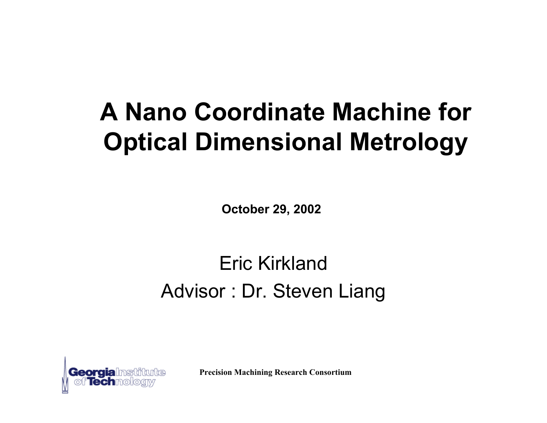# **A Nano Coordinate Machine for Optical Dimensional Metrology**

**October 29, 2002**

#### Eric KirklandAdvisor : Dr. Steven Liang

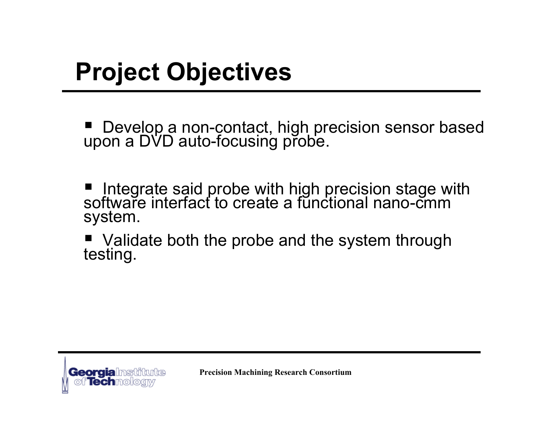# **Project Objectives**

■ Develop a non-contact, high precision sensor based<br>upon a DVD auto-focusing probe.

 $\blacksquare$  Integrate said probe with high precision stage with<br>software interfact to create a functional nano-cmm system.

■ Validate both the probe and the system through<br>testing.

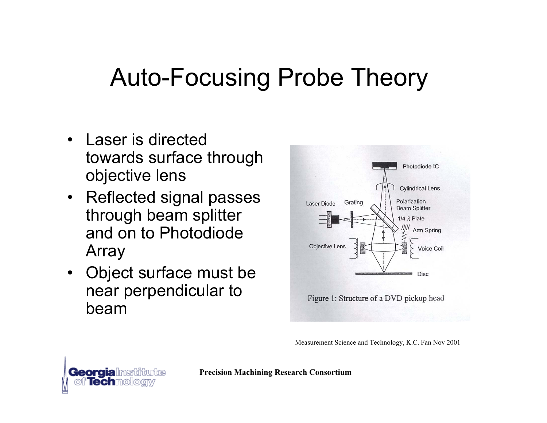# Auto-Focusing Probe Theory

- Laser is directed towards surface through objective lens
- Reflected signal passes through beam splitter and on to Photodiode Array
- Object surface must be near perpendicular to beam



Measurement Science and Technology, K.C. Fan Nov 2001

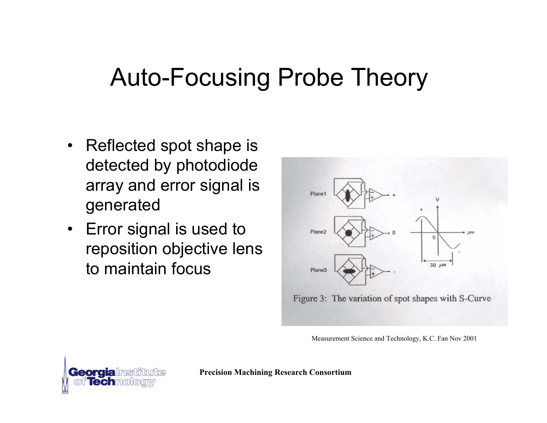# Auto-Focusing Probe Theory

- Reflected spot shape is detected by photodiode array and error signal is generated
- Error signal is used to reposition objective lens to maintain focus



Measurement Science and Technology, K.C. Fan Nov 2001

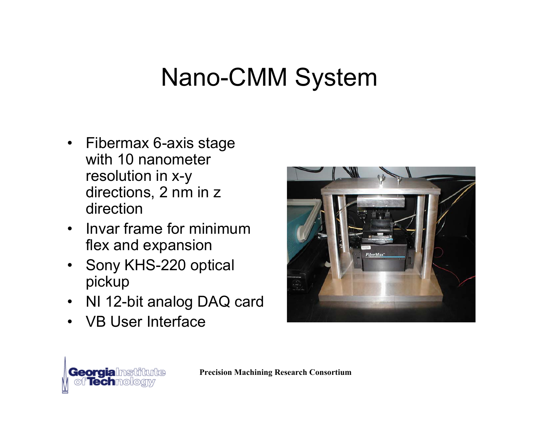# Nano-CMM System

- Fibermax 6-axis stage with 10 nanometer resolution in x-y directions, 2 nm in z direction
- Invar frame for minimum flex and expansion
- Sony KHS-220 optical pickup
- NI 12-bit analog DAQ card
- VB User Interface



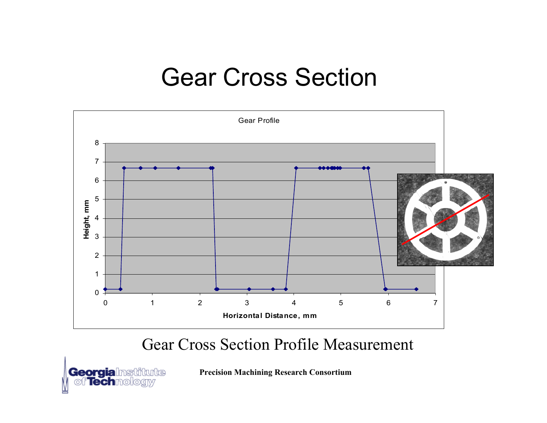### Gear Cross Section



#### Gear Cross Section Profile Measurement

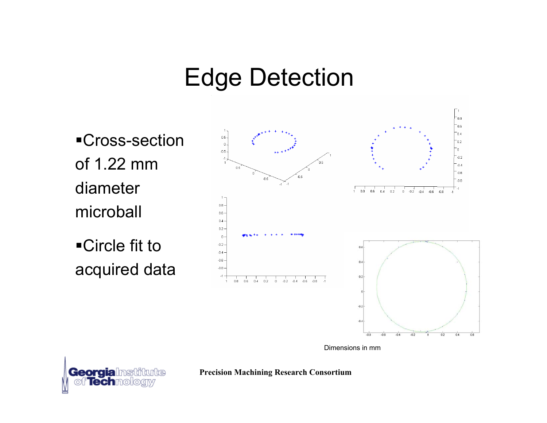## Edge Detection

Cross-section of 1.22 mm diameter microball

Circle fit to acquired data



Dimensions in mm



**Precision Machining Research Consortium**

 $\overline{0}$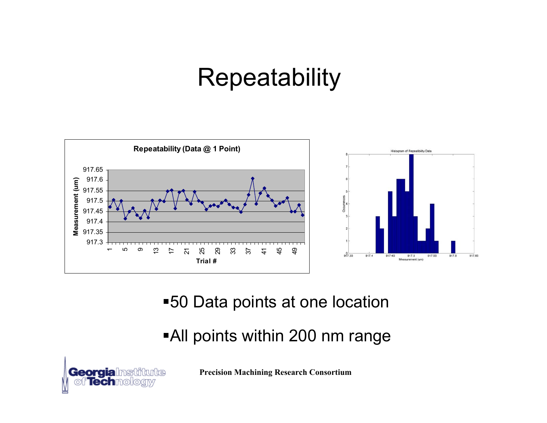## **Repeatability**



#### 50 Data points at one location

#### All points within 200 nm range

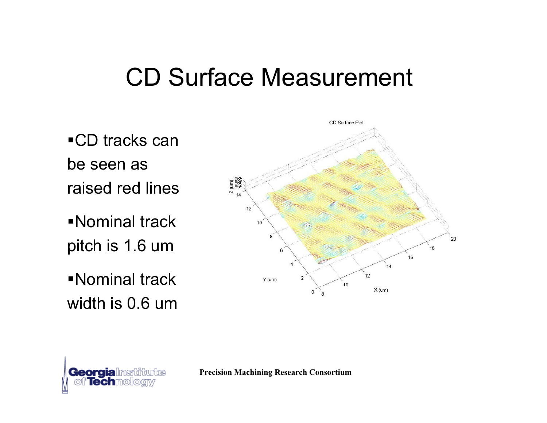### CD Surface Measurement

■CD tracks can be seen as raised red lines

Nominal track pitch is 1.6 um

Nominal track width is 0.6 um